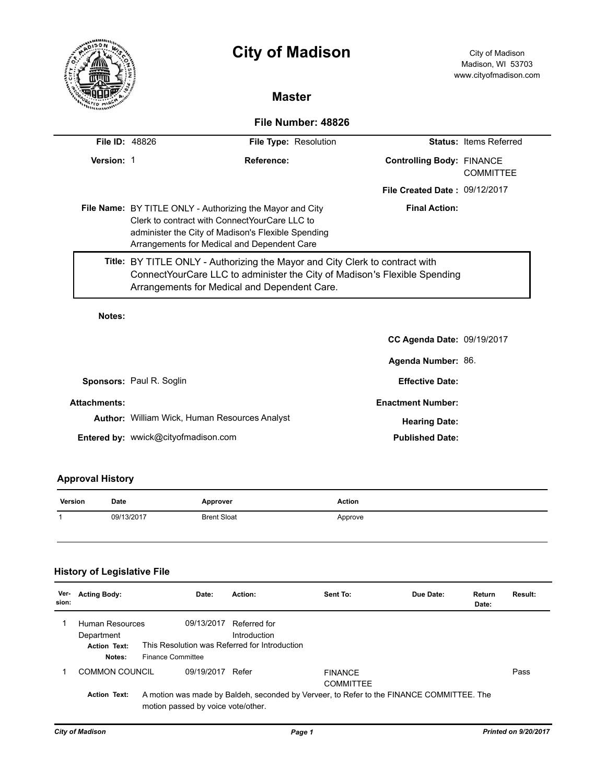|                       |                                                                                                                                                                                                                        | <b>City of Madison</b><br><b>Master</b>                                                                                                                                                                   |                                  | City of Madison<br>Madison, WI 53703<br>www.cityofmadison.com |  |  |
|-----------------------|------------------------------------------------------------------------------------------------------------------------------------------------------------------------------------------------------------------------|-----------------------------------------------------------------------------------------------------------------------------------------------------------------------------------------------------------|----------------------------------|---------------------------------------------------------------|--|--|
|                       |                                                                                                                                                                                                                        |                                                                                                                                                                                                           |                                  |                                                               |  |  |
| File Number: 48826    |                                                                                                                                                                                                                        |                                                                                                                                                                                                           |                                  |                                                               |  |  |
| <b>File ID: 48826</b> |                                                                                                                                                                                                                        | <b>File Type: Resolution</b>                                                                                                                                                                              |                                  | Status: Items Referred                                        |  |  |
| Version: 1            |                                                                                                                                                                                                                        | Reference:                                                                                                                                                                                                | <b>Controlling Body: FINANCE</b> | <b>COMMITTEE</b>                                              |  |  |
|                       |                                                                                                                                                                                                                        |                                                                                                                                                                                                           | File Created Date: 09/12/2017    |                                                               |  |  |
|                       | <b>File Name:</b> BY TITLE ONLY - Authorizing the Mayor and City<br>Clerk to contract with ConnectYourCare LLC to<br>administer the City of Madison's Flexible Spending<br>Arrangements for Medical and Dependent Care |                                                                                                                                                                                                           | <b>Final Action:</b>             |                                                               |  |  |
|                       |                                                                                                                                                                                                                        | Title: BY TITLE ONLY - Authorizing the Mayor and City Clerk to contract with<br>ConnectYourCare LLC to administer the City of Madison's Flexible Spending<br>Arrangements for Medical and Dependent Care. |                                  |                                                               |  |  |

## **Notes:**

|                     |                                                      | <b>CC Agenda Date: 09/19/2017</b> |  |
|---------------------|------------------------------------------------------|-----------------------------------|--|
|                     |                                                      | Agenda Number: 86.                |  |
|                     | <b>Sponsors: Paul R. Soglin</b>                      | <b>Effective Date:</b>            |  |
| <b>Attachments:</b> |                                                      | <b>Enactment Number:</b>          |  |
|                     | <b>Author:</b> William Wick, Human Resources Analyst | <b>Hearing Date:</b>              |  |
|                     | <b>Entered by: wwick@cityofmadison.com</b>           | <b>Published Date:</b>            |  |

## **Approval History**

| Version | Date       | Approver           | Action  |
|---------|------------|--------------------|---------|
|         | 09/13/2017 | <b>Brent Sloat</b> | Approve |

## **History of Legislative File**

| Ver-<br>sion: | <b>Acting Body:</b>                                                                                                                                   | Date:                                                                                   | Action:                      | Sent To:                           | Due Date: | Return<br>Date: | Result: |
|---------------|-------------------------------------------------------------------------------------------------------------------------------------------------------|-----------------------------------------------------------------------------------------|------------------------------|------------------------------------|-----------|-----------------|---------|
|               | Human Resources<br>Department<br><b>Action Text:</b><br>Notes:                                                                                        | 09/13/2017<br>This Resolution was Referred for Introduction<br><b>Finance Committee</b> | Referred for<br>Introduction |                                    |           |                 |         |
|               | COMMON COUNCIL                                                                                                                                        | 09/19/2017                                                                              | Refer                        | <b>FINANCE</b><br><b>COMMITTEE</b> |           |                 | Pass    |
|               | <b>Action Text:</b><br>A motion was made by Baldeh, seconded by Verveer, to Refer to the FINANCE COMMITTEE. The<br>motion passed by voice vote/other. |                                                                                         |                              |                                    |           |                 |         |